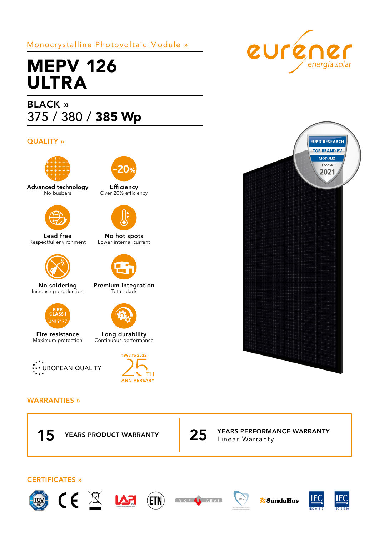## Monocrystalline Photovoltaic Module »

# MEPV 126 ULTRA

## BLACK » 375 / 380 / 385 Wp

### QUALITY »



Advanced technology No busbars



Lead free Respectful environment



No soldering Increasing production



Fire resistance Maximum protection





Efficiency Over 20% efficiency



No hot spots Lower internal current



Premium integration Total black



Long durability Continuous performance



#### WARRANTIES »



 $\cancel{1}$ 



Linear Warranty